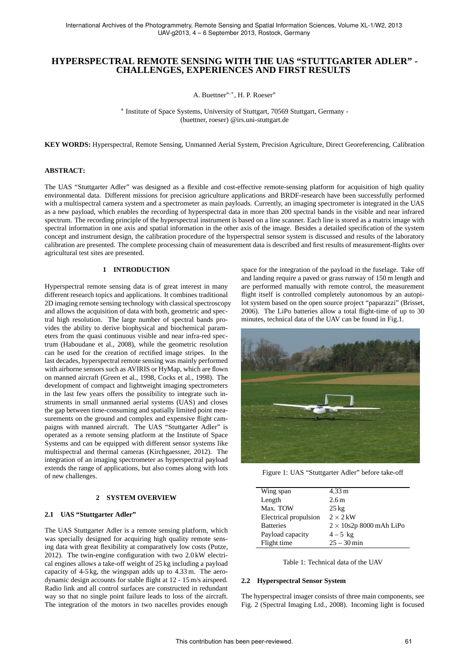# **HYPERSPECTRAL REMOTE SENSING WITH THE UAS "STUTTGARTER ADLER" - CHALLENGES, EXPERIENCES AND FIRST RESULTS**

A. Buettner<sup>a,\*</sup>, H. P. Roeser<sup>a</sup>

<sup>a</sup> Institute of Space Systems, University of Stuttgart, 70569 Stuttgart, Germany -(buettner, roeser) @irs.uni-stuttgart.de

**KEY WORDS:** Hyperspectral, Remote Sensing, Unmanned Aerial System, Precision Agriculture, Direct Georeferencing, Calibration

## **ABSTRACT:**

The UAS "Stuttgarter Adler" was designed as a flexible and cost-effective remote-sensing platform for acquisition of high quality environmental data. Different missions for precision agriculture applications and BRDF-research have been successfully performed with a multispectral camera system and a spectrometer as main payloads. Currently, an imaging spectrometer is integrated in the UAS as a new payload, which enables the recording of hyperspectral data in more than 200 spectral bands in the visible and near infrared spectrum. The recording principle of the hyperspectral instrument is based on a line scanner. Each line is stored as a matrix image with spectral information in one axis and spatial information in the other axis of the image. Besides a detailed specification of the system concept and instrument design, the calibration procedure of the hyperspectral sensor system is discussed and results of the laboratory calibration are presented. The complete processing chain of measurement data is described and first results of measurement-flights over agricultural test sites are presented.

## **1 INTRODUCTION**

Hyperspectral remote sensing data is of great interest in many different research topics and applications. It combines traditional 2D imaging remote sensing technology with classical spectroscopy and allows the acquisition of data with both, geometric and spectral high resolution. The large number of spectral bands provides the ability to derive biophysical and biochemical parameters from the quasi continuous visible and near infra-red spectrum (Haboudane et al., 2008), while the geometric resolution can be used for the creation of rectified image stripes. In the last decades, hyperspectral remote sensing was mainly performed with airborne sensors such as AVIRIS or HyMap, which are flown on manned aircraft (Green et al., 1998, Cocks et al., 1998). The development of compact and lightweight imaging spectrometers in the last few years offers the possibility to integrate such instruments in small unmanned aerial systems (UAS) and closes the gap between time-consuming and spatially limited point measurements on the ground and complex and expensive flight campaigns with manned aircraft. The UAS "Stuttgarter Adler" is operated as a remote sensing platform at the Institute of Space Systems and can be equipped with different sensor systems like multispectral and thermal cameras (Kirchgaessner, 2012). The integration of an imaging spectrometer as hyperspectral payload extends the range of applications, but also comes along with lots of new challenges.

## **2 SYSTEM OVERVIEW**

## **2.1 UAS "Stuttgarter Adler"**

The UAS Stuttgarter Adler is a remote sensing platform, which was specially designed for acquiring high quality remote sensing data with great flexibility at comparatively low costs (Putze, 2012). The twin-engine configuration with two 2.0 kW electrical engines allows a take-off weight of 25 kg including a payload capacity of 4-5 kg, the wingspan adds up to 4.33 m. The aerodynamic design accounts for stable flight at 12 - 15 m/s airspeed. Radio link and all control surfaces are constructed in redundant way so that no single point failure leads to loss of the aircraft. The integration of the motors in two nacelles provides enough space for the integration of the payload in the fuselage. Take off and landing require a paved or grass runway of 150 m length and are performed manually with remote control, the measurement flight itself is controlled completely autonomous by an autopilot system based on the open source project "paparazzi" (Brisset, 2006). The LiPo batteries allow a total flight-time of up to 30 minutes, technical data of the UAV can be found in Fig.1.



Figure 1: UAS "Stuttgarter Adler" before take-off

| Wing span             | 4.33 m                         |
|-----------------------|--------------------------------|
| Length                | 2.6m                           |
| Max. TOW              | $25 \text{ kg}$                |
| Electrical propulsion | $2 \times 2$ kW                |
| <b>Batteries</b>      | $2 \times 10s2p$ 8000 mAh LiPo |
| Payload capacity      | $4 - 5$ kg                     |
| Flight time           | $25 - 30$ min                  |
|                       |                                |

Table 1: Technical data of the HAV

## **2.2 Hyperspectral Sensor System**

The hyperspectral imager consists of three main components, see Fig. 2 (Spectral Imaging Ltd., 2008). Incoming light is focused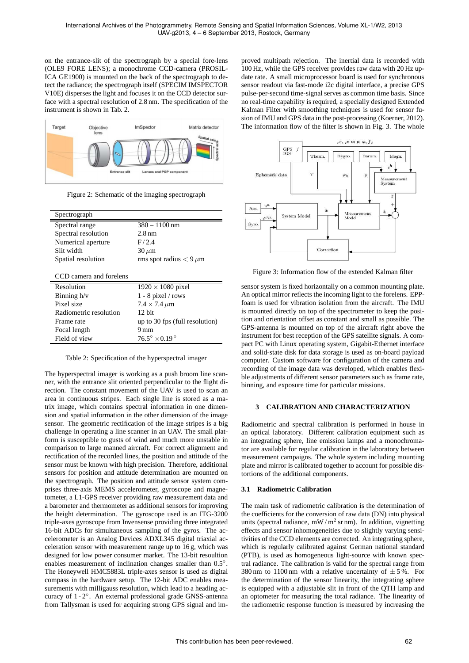on the entrance-slit of the spectrograph by a special fore-lens (OLE9 FORE LENS); a monochrome CCD-camera (PROSIL-ICA GE1900) is mounted on the back of the spectrograph to detect the radiance; the spectrograph itself (SPECIM IMSPECTOR V10E) disperses the light and focuses it on the CCD detector surface with a spectral resolution of 2.8 nm. The specification of the instrument is shown in Tab. 2.



Figure 2: Schematic of the imaging spectrograph

| Spectrograph            |                                    |
|-------------------------|------------------------------------|
| Spectral range          | $380 - 1100$ nm                    |
| Spectral resolution     | $2.8 \,\mathrm{nm}$                |
| Numerical aperture      | F/2.4                              |
| Slit width              | $30 \mu m$                         |
| Spatial resolution      | rms spot radius $< 9 \mu m$        |
|                         |                                    |
| CCD camera and forelens |                                    |
| Resolution              | $1920 \times 1080$ pixel           |
| Binning $h/v$           | $1 - 8$ pixel / rows               |
| Pixel size              | $7.4 \times 7.4 \mu m$             |
| Radiometric resolution  | $12$ bit                           |
| Frame rate              | up to 30 fps (full resolution)     |
| Focal length            | 9 mm                               |
| Field of view           | $76.5^{\circ} \times 0.19^{\circ}$ |

Table 2: Specification of the hyperspectral imager

The hyperspectral imager is working as a push broom line scanner, with the entrance slit oriented perpendicular to the flight direction. The constant movement of the UAV is used to scan an area in continuous stripes. Each single line is stored as a matrix image, which contains spectral information in one dimension and spatial information in the other dimension of the image sensor. The geometric rectification of the image stripes is a big challenge in operating a line scanner in an UAV. The small platform is susceptible to gusts of wind and much more unstable in comparison to large manned aircraft. For correct alignment and rectification of the recorded lines, the position and attitude of the sensor must be known with high precision. Therefore, additional sensors for position and attitude determination are mounted on the spectrograph. The position and attitude sensor system comprises three-axis MEMS accelerometer, gyroscope and magnetometer, a L1-GPS receiver providing raw measurement data and a barometer and thermometer as additional sensors for improving the height determination. The gyroscope used is an ITG-3200 triple-axes gyroscope from Invensense providing three integrated 16-bit ADCs for simultaneous sampling of the gyros. The accelerometer is an Analog Devices ADXL345 digital triaxial acceleration sensor with measurement range up to 16 g, which was designed for low power consumer market. The 13-bit resoultion enables measurement of inclination changes smaller than 0.5°. The Honeywell HMC5883L triple-axes sensor is used as digital compass in the hardware setup. The 12-bit ADC enables measurements with milligauss resolution, which lead to a heading accuracy of 1 - 2◦ . An external professional grade GNSS-antenna from Tallysman is used for acquiring strong GPS signal and improved multipath rejection. The inertial data is recorded with 100 Hz, while the GPS receiver provides raw data with 20 Hz update rate. A small microprocessor board is used for synchronous sensor readout via fast-mode i2c digital interface, a precise GPS pulse-per-second time-signal serves as common time basis. Since no real-time capability is required, a specially designed Extended Kalman Filter with smoothing techniques is used for sensor fusion of IMU and GPS data in the post-processing (Koerner, 2012). The information flow of the filter is shown in Fig. 3. The whole



Figure 3: Information flow of the extended Kalman filter

sensor system is fixed horizontally on a common mounting plate. An optical mirror reflects the incoming light to the forelens. EPPfoam is used for vibration isolation from the aircraft. The IMU is mounted directly on top of the spectrometer to keep the position and orientation offset as constant and small as possible. The GPS-antenna is mounted on top of the aircraft right above the instrument for best reception of the GPS satellite signals. A compact PC with Linux operating system, Gigabit-Ethernet interface and solid-state disk for data storage is used as on-board payload computer. Custom software for configuration of the camera and recording of the image data was developed, which enables flexible adjustments of different sensor parameters such as frame rate, binning, and exposure time for particular missions.

## **3 CALIBRATION AND CHARACTERIZATION**

Radiometric and spectral calibration is performed in house in an optical laboratory. Different calibration equipment such as an integrating sphere, line emission lamps and a monochromator are available for regular calibration in the laboratory between measurement campaigns. The whole system including mounting plate and mirror is calibrated together to account for possible distortions of the additional components.

#### **3.1 Radiometric Calibration**

The main task of radiometric calibration is the determination of the coefficients for the conversion of raw data (DN) into physical units (spectral radiance, mW/m<sup>2</sup> sr nm). In addition, vignetting effects and sensor inhomogeneities due to slightly varying sensitivities of the CCD elements are corrected. An integrating sphere, which is regularly calibrated against German national standard (PTB), is used as homogeneous light-source with known spectral radiance. The calibration is valid for the spectral range from 380 nm to 1100 nm with a relative uncertainty of  $\pm$  5%. For the determination of the sensor linearity, the integrating sphere is equipped with a adjustable slit in front of the QTH lamp and an optometer for measuring the total radiance. The linearity of the radiometric response function is measured by increasing the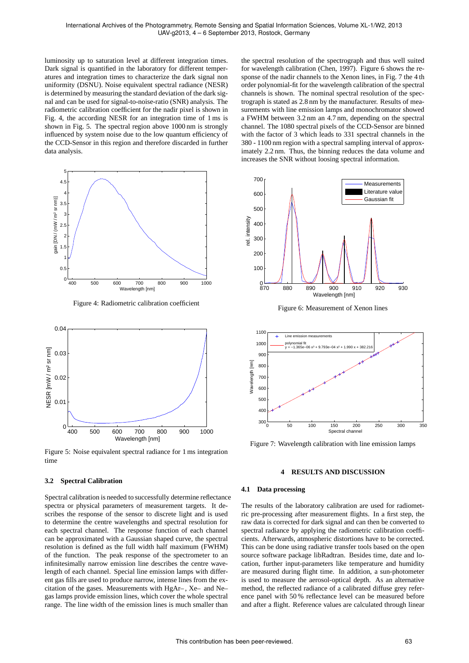luminosity up to saturation level at different integration times. Dark signal is quantified in the laboratory for different temperatures and integration times to characterize the dark signal non uniformity (DSNU). Noise equivalent spectral radiance (NESR) is determined by measuring the standard deviation of the dark signal and can be used for signal-to-noise-ratio (SNR) analysis. The radiometric calibration coefficient for the nadir pixel is shown in Fig. 4, the according NESR for an integration time of 1 ms is shown in Fig. 5. The spectral region above 1000 nm is strongly influenced by system noise due to the low quantum efficiency of the CCD-Sensor in this region and therefore discarded in further data analysis.



Figure 4: Radiometric calibration coefficient



Figure 5: Noise equivalent spectral radiance for 1 ms integration time

#### **3.2 Spectral Calibration**

Spectral calibration is needed to successfully determine reflectance spectra or physical parameters of measurement targets. It describes the response of the sensor to discrete light and is used to determine the centre wavelengths and spectral resolution for each spectral channel. The response function of each channel can be approximated with a Gaussian shaped curve, the spectral resolution is defined as the full width half maximum (FWHM) of the function. The peak response of the spectrometer to an infinitesimally narrow emission line describes the centre wavelength of each channel. Special line emission lamps with different gas fills are used to produce narrow, intense lines from the excitation of the gases. Measurements with HgAr– , Xe– and Ne– gas lamps provide emission lines, which cover the whole spectral range. The line width of the emission lines is much smaller than

the spectral resolution of the spectrograph and thus well suited for wavelength calibration (Chen, 1997). Figure 6 shows the response of the nadir channels to the Xenon lines, in Fig. 7 the 4 th order polynomial-fit for the wavelength calibration of the spectral channels is shown. The nominal spectral resolution of the spectrograph is stated as 2.8 nm by the manufacturer. Results of measurements with line emission lamps and monochromator showed a FWHM between 3.2 nm an 4.7 nm, depending on the spectral channel. The 1080 spectral pixels of the CCD-Sensor are binned with the factor of 3 which leads to 331 spectral channels in the 380 - 1100 nm region with a spectral sampling interval of approximately 2.2 nm. Thus, the binning reduces the data volume and increases the SNR without loosing spectral information.



Figure 6: Measurement of Xenon lines



Figure 7: Wavelength calibration with line emission lamps

## **4 RESULTS AND DISCUSSION**

#### **4.1 Data processing**

The results of the laboratory calibration are used for radiometric pre-processing after measurement flights. In a first step, the raw data is corrected for dark signal and can then be converted to spectral radiance by applying the radiometric calibration coefficients. Afterwards, atmospheric distortions have to be corrected. This can be done using radiative transfer tools based on the open source software package libRadtran. Besides time, date and location, further input-parameters like temperature and humidity are measured during flight time. In addition, a sun-photometer is used to measure the aerosol-optical depth. As an alternative method, the reflected radiance of a calibrated diffuse grey reference panel with 50 % reflectance level can be measured before and after a flight. Reference values are calculated through linear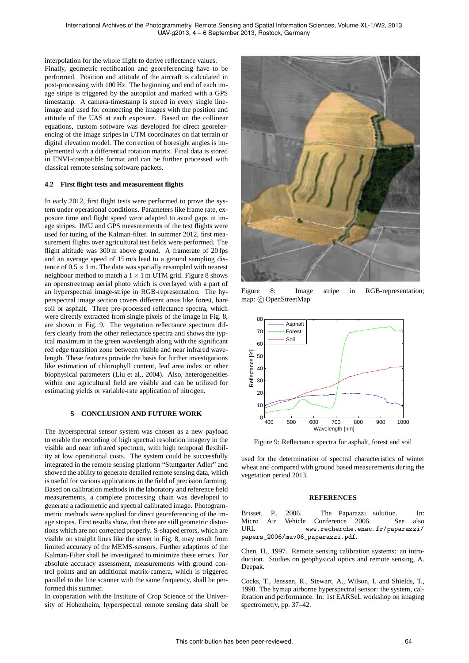interpolation for the whole flight to derive reflectance values. Finally, geometric rectification and georeferencing have to be performed. Position and attitude of the aircraft is calculated in post-processing with 100 Hz. The beginning and end of each image stripe is triggered by the autopilot and marked with a GPS timestamp. A camera-timestamp is stored in every single lineimage and used for connecting the images with the position and attitude of the UAS at each exposure. Based on the collinear equations, custom software was developed for direct georeferencing of the image stripes in UTM coordinates on flat terrain or digital elevation model. The correction of boresight angles is implemented with a differential rotation matrix. Final data is stored in ENVI-compatible format and can be further processed with classical remote sensing software packets.

## **4.2 First flight tests and measurement flights**

In early 2012, first flight tests were performed to prove the system under operational conditions. Parameters like frame rate, exposure time and flight speed were adapted to avoid gaps in image stripes. IMU and GPS measurements of the test flights were used for tuning of the Kalman-filter. In summer 2012, first measurement flights over agricultural test fields were performed. The flight altitude was 300 m above ground. A framerate of 20 fps and an average speed of 15 m/s lead to a ground sampling distance of  $0.5 \times 1$  m. The data was spatially resampled with nearest neighbour method to match a  $1 \times 1$  m UTM grid. Figure 8 shows an openstreetmap aerial photo which is overlayed with a part of an hyperspectral image-stripe in RGB-representation. The hyperspectral image section covers different areas like forest, bare soil or asphalt. Three pre-processed reflectance spectra, which were directly extracted from single pixels of the image in Fig. 8, are shown in Fig. 9. The vegetation reflectance spectrum differs clearly from the other reflectance spectra and shows the typical maximum in the green wavelength along with the significant red edge transition zone between visible and near infrared wavelength. These features provide the basis for further investigations like estimation of chlorophyll content, leaf area index or other biophysical parameters (Liu et al., 2004). Also, heterogeneities within one agricultural field are visible and can be utilized for estimating yields or variable-rate application of nitrogen.

## **5 CONCLUSION AND FUTURE WORK**

The hyperspectral sensor system was chosen as a new payload to enable the recording of high spectral resolution imagery in the visible and near infrared spectrum, with high temporal flexibility at low operational costs. The system could be successfully integrated in the remote sensing platform "Stuttgarter Adler" and showed the ability to generate detailed remote sensing data, which is useful for various applications in the field of precision farming. Based on calibration methods in the laboratory and reference field measurements, a complete processing chain was developed to generate a radiometric and spectral calibrated image. Photogrammetric methods were applied for direct georeferencing of the image stripes. First results show, that there are still geometric distortions which are not corrected properly. S-shaped errors, which are visible on straight lines like the street in Fig. 8, may result from limited accuracy of the MEMS-sensors. Further adaptions of the Kalman-Filter shall be investigated to minimize these errors. For absolute accuracy assessment, measurements with ground control points and an additional matrix-camera, which is triggered parallel to the line scanner with the same frequency, shall be performed this summer.

In cooperation with the Institute of Crop Science of the University of Hohenheim, hyperspectral remote sensing data shall be



Figure 8: Image stripe in RGB-representation; map: C OpenStreetMap



Figure 9: Reflectance spectra for asphalt, forest and soil

used for the determination of spectral characteristics of winter wheat and compared with ground based measurements during the vegetation period 2013.

#### **REFERENCES**

Brisset, P., 2006. The Paparazzi solution. In: Micro Air Vehicle Conference 2006. See also URL www.recherche.enac.fr/paparazzi/ papers\_2006/mav06\_paparazzi.pdf.

Chen, H., 1997. Remote sensing calibration systems: an introduction. Studies on geophysical optics and remote sensing, A. Deepak.

Cocks, T., Jenssen, R., Stewart, A., Wilson, I. and Shields, T., 1998. The hymap airborne hyperspectral sensor: the system, calibration and performance. In: 1st EARSeL workshop on imaging spectrometry, pp. 37–42.